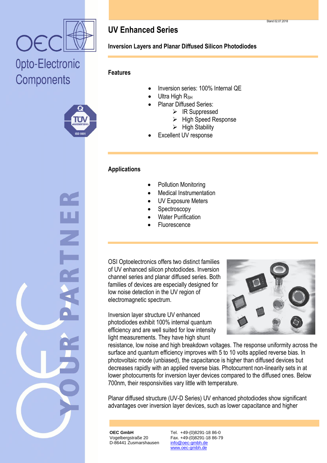



### **UV Enhanced Series**

#### **Inversion Layers and Planar Diffused Silicon Photodiodes**

#### **Features**

- Inversion series: 100% Internal QE
- Ultra High R<sub>SH</sub>
- Planar Diffused Series:
	- $\triangleright$  IR Suppressed
		- > High Speed Response
		- $\triangleright$  High Stability
- Excellent UV response

#### **Applications**

- Pollution Monitoring
- Medical Instrumentation
- UV Exposure Meters
- Spectroscopy
- Water Purification
- Fluorescence

OSI Optoelectronics offers two distinct families of UV enhanced silicon photodiodes. Inversion channel series and planar diffused series. Both families of devices are especially designed for low noise detection in the UV region of electromagnetic spectrum.

Inversion layer structure UV enhanced photodiodes exhibit 100% internal quantum efficiency and are well suited for low intensity light measurements. They have high shunt



resistance, low noise and high breakdown voltages. The response uniformity across the surface and quantum efficiency improves with 5 to 10 volts applied reverse bias. In photovoltaic mode (unbiased), the capacitance is higher than diffused devices but decreases rapidly with an applied reverse bias. Photocurrent non-linearity sets in at lower photocurrents for inversion layer devices compared to the diffused ones. Below 700nm, their responsivities vary little with temperature.

Planar diffused structure (UV-D Series) UV enhanced photodiodes show significant advantages over inversion layer devices, such as lower capacitance and higher

**OEC GmbH** Vogelbergstraße 20 D-86441 Zusmarshausen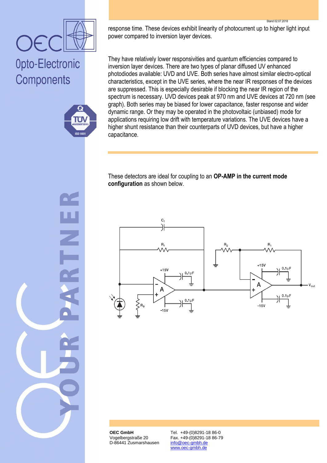



response time. These devices exhibit linearity of photocurrent up to higher light input power compared to inversion layer devices.

Stand 02.07.2018

They have relatively lower responsivities and quantum efficiencies compared to inversion layer devices. There are two types of planar diffused UV enhanced photodiodes available: UVD and UVE. Both series have almost similar electro-optical characteristics, except in the UVE series, where the near IR responses of the devices are suppressed. This is especially desirable if blocking the near IR region of the spectrum is necessary. UVD devices peak at 970 nm and UVE devices at 720 nm (see graph). Both series may be biased for lower capacitance, faster response and wider dynamic range. Or they may be operated in the photovoltaic (unbiased) mode for applications requiring low drift with temperature variations. The UVE devices have a higher shunt resistance than their counterparts of UVD devices, but have a higher capacitance.

These detectors are ideal for coupling to an **OP-AMP in the current mode configuration** as shown below.



**OEC GmbH** Vogelbergstraße 20 D-86441 Zusmarshausen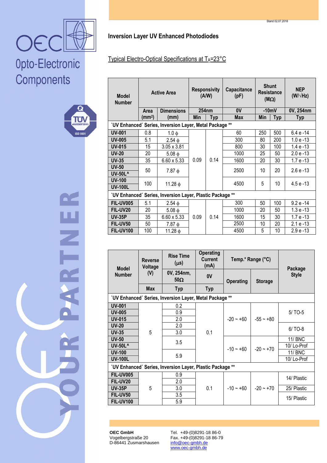



Z

#### **Inversion Layer UV Enhanced Photodiodes**

#### Typical Electro-Optical Specifications at TA=23°C

| <b>Model</b><br><b>Number</b>                             |                    | <b>Active Area</b>                                      |                   | <b>Responsivity</b><br>(A/W) | Capacitance<br>(pF) | <b>Shunt</b><br><b>Resistance</b><br>$(M\Omega)$ |            | <b>NEP</b><br>$(W/\sqrt{Hz})$ |  |
|-----------------------------------------------------------|--------------------|---------------------------------------------------------|-------------------|------------------------------|---------------------|--------------------------------------------------|------------|-------------------------------|--|
|                                                           | Area               | <b>Dimensions</b>                                       | 254 <sub>nm</sub> |                              | 0V                  | $-10mV$                                          |            | 0V, 254nm                     |  |
|                                                           | (mm <sup>2</sup> ) | (mm)                                                    | Min               | <b>Typ</b>                   | Max                 | <b>Min</b>                                       | <b>Typ</b> | Typ                           |  |
|                                                           |                    | 'UV Enhanced' Series, Inversion Layer, Metal Package ** |                   |                              |                     |                                                  |            |                               |  |
| <b>UV-001</b>                                             | 0.8                | $1.0\phi$                                               |                   |                              | 60                  | 250                                              | 500        | 6.4 e -14                     |  |
| <b>UV-005</b>                                             | 5.1                | $2.54 \phi$                                             |                   |                              | 300                 | 80                                               | 200        | 1.0 e -13                     |  |
| <b>UV-015</b>                                             | 15                 | $3.05 \times 3.81$                                      |                   |                              | 800                 | 30                                               | 100        | 1.4 e -13                     |  |
| <b>UV-20</b>                                              | 20                 | $5.08 \phi$                                             |                   |                              | 1000                | 25                                               | 50         | $2.0 e - 13$                  |  |
| <b>UV-35</b>                                              | 35                 | $6.60 \times 5.33$                                      | 0.09              | 0.14                         | 1600                | 20                                               | 30         | 1.7 e -13                     |  |
| <b>UV-50</b><br>UV-50L^                                   | 50                 | $7.87\phi$                                              |                   |                              | 2500                | 10                                               | 20         | $2.6e - 13$                   |  |
| <b>UV-100</b><br><b>UV-100L</b>                           | 100                | 11.28 $\phi$                                            |                   |                              | 4500                | 5                                                | 10         | $4.5e-13$                     |  |
| 'UV Enhanced' Series, Inversion Layer, Plastic Package ** |                    |                                                         |                   |                              |                     |                                                  |            |                               |  |
| <b>FIL-UV005</b>                                          | 5.1                | $2.54 \phi$                                             |                   |                              | 300                 | 50                                               | 100        | $9.2 e - 14$                  |  |
| FIL-UV20                                                  | 20                 | $5.08 \phi$                                             |                   |                              | 1000                | 20                                               | 50         | 1.3 e -13                     |  |
| <b>UV-35P</b>                                             | 35                 | 6.60 x 5.33                                             | 0.14<br>0.09      | 1600                         | 15                  | 30                                               | 1.7 e -13  |                               |  |
| FIL-UV50                                                  | 50                 | $7.87\ \phi$                                            |                   |                              | 2500                | 10                                               | 20         | $2.1 e - 13$                  |  |
| FIL-UV100                                                 | 100                | 11.28 $\phi$                                            |                   |                              | 4500                | 5                                                | 10         | $2.9e - 13$                   |  |

| <b>Model</b><br><b>Number</b>                             | <b>Reverse</b><br>Voltage | <b>Rise Time</b><br>$(\mu s)$                           | <b>Operating</b><br><b>Current</b><br>(mA) | Temp.* Range (°C) |                | Package        |  |  |
|-----------------------------------------------------------|---------------------------|---------------------------------------------------------|--------------------------------------------|-------------------|----------------|----------------|--|--|
|                                                           | (V)                       | 0V, 254nm,<br>$50\Omega$                                | 0V                                         | <b>Operating</b>  | <b>Storage</b> | <b>Style</b>   |  |  |
|                                                           | <b>Max</b>                | <b>Typ</b>                                              | <b>Typ</b>                                 |                   |                |                |  |  |
|                                                           |                           | 'UV Enhanced' Series, Inversion Layer, Metal Package ** |                                            |                   |                |                |  |  |
| <b>UV-001</b>                                             |                           | 0.2                                                     |                                            | $-20 - +60$       |                |                |  |  |
| <b>UV-005</b>                                             |                           | 0.9                                                     |                                            |                   |                | $5/$ TO-5      |  |  |
| <b>UV-015</b>                                             |                           | 2.0                                                     | 0.1                                        |                   | $-55 - +80$    |                |  |  |
| <b>UV-20</b>                                              |                           | 2.0                                                     |                                            |                   |                | $6/TO-8$       |  |  |
| <b>UV-35</b>                                              | 5                         | 3.0                                                     |                                            |                   |                |                |  |  |
| <b>UV-50</b>                                              |                           | 3.5                                                     |                                            | $-10 - +60$       | $-20 - +70$    | <b>11/ BNC</b> |  |  |
| <b>UV-50L^</b>                                            |                           |                                                         |                                            |                   |                | 10/Lo-Prof     |  |  |
| <b>UV-100</b>                                             |                           | 5.9                                                     |                                            |                   |                | <b>11/ BNC</b> |  |  |
| <b>UV-100L</b>                                            |                           |                                                         |                                            |                   |                | 10/Lo-Prof     |  |  |
| 'UV Enhanced' Series, Inversion Layer, Plastic Package ** |                           |                                                         |                                            |                   |                |                |  |  |
| <b>FIL-UV005</b>                                          |                           | 0.9                                                     |                                            |                   |                |                |  |  |
| FIL-UV20                                                  |                           | 2.0                                                     |                                            |                   |                | 14/ Plastic    |  |  |
| <b>UV-35P</b>                                             | 5                         | 3.0                                                     | 0.1                                        | $-10 - +60$       | $-20 - +70$    | 25/ Plastic    |  |  |
| FIL-UV50                                                  |                           | 3.5                                                     |                                            |                   |                | 15/ Plastic    |  |  |
| <b>FIL-UV100</b>                                          |                           | 5.9                                                     |                                            |                   |                |                |  |  |

**OEC GmbH** Vogelbergstraße 20 D-86441 Zusmarshausen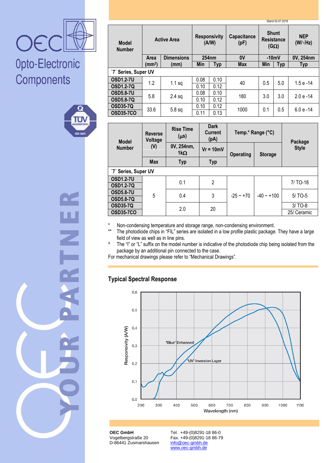



|                               | Stand 02.07.2018     |                   |                              |            |                     |                                                  |     |                               |  |
|-------------------------------|----------------------|-------------------|------------------------------|------------|---------------------|--------------------------------------------------|-----|-------------------------------|--|
| <b>Model</b><br><b>Number</b> | <b>Active Area</b>   |                   | <b>Responsivity</b><br>(A/W) |            | Capacitance<br>(pF) | <b>Shunt</b><br><b>Resistance</b><br>$(G\Omega)$ |     | <b>NEP</b><br>$(W/\sqrt{Hz})$ |  |
|                               | <b>Area</b>          | <b>Dimensions</b> | 254nm                        |            | 0V                  | $-10mV$                                          |     | 0V, 254nm                     |  |
|                               | $\text{m}^2$         | (mm)              | <b>Min</b>                   | <b>Typ</b> | <b>Max</b>          | <b>Min</b><br><b>Typ</b>                         |     | <b>Typ</b>                    |  |
|                               | '7' Series, Super UV |                   |                              |            |                     |                                                  |     |                               |  |
| <b>OSD1.2-7U</b>              | 1.2                  | $1.1$ sq          | 0.08                         | 0.10       | 40                  | 0.5<br>5.0                                       |     | $1.5e - 14$                   |  |
| <b>OSD1.2-7Q</b>              |                      |                   | 0.10                         | 0.12       |                     |                                                  |     |                               |  |
| <b>OSD5.8-7U</b>              | 5.8                  |                   | 0.08                         | 0.10       | 180                 | 3.0<br>3.0                                       |     | $2.0e - 14$                   |  |
| <b>OSD5.8-7Q</b>              |                      | $2.4$ sq          | 0.10                         | 0.12       |                     |                                                  |     |                               |  |
| <b>OSD35-7Q</b>               |                      | $5.8$ sq          | 0.10                         | 0.12       |                     | 0.1                                              | 0.5 | $6.0 e - 14$                  |  |
| <b>OSD35-7CO</b>              | 33.6                 |                   | 0.11                         | 0.13       | 1000                |                                                  |     |                               |  |
|                               |                      |                   |                              |            |                     |                                                  |     |                               |  |

| <b>Model</b>     | <b>Reverse</b><br>Voltage | <b>Rise Time</b><br>$(\mu s)$ | <b>Dark</b><br><b>Current</b><br>(pA) | Temp.* Range (°C) |                | Package      |  |  |  |
|------------------|---------------------------|-------------------------------|---------------------------------------|-------------------|----------------|--------------|--|--|--|
| <b>Number</b>    | (V)                       | 0V, 254nm,<br>1k $\Omega$     | $Vr = 10mV$                           | <b>Operating</b>  | <b>Storage</b> | <b>Style</b> |  |  |  |
|                  | <b>Max</b>                | <b>Typ</b>                    | <b>Typ</b>                            |                   |                |              |  |  |  |
|                  | `7' Series, Super UV      |                               |                                       |                   |                |              |  |  |  |
| <b>OSD1.2-7U</b> |                           | 0.1                           | 2                                     |                   | $-40 - +100$   | 7/ TO-18     |  |  |  |
| <b>OSD1.2-7Q</b> |                           |                               |                                       |                   |                |              |  |  |  |
| <b>OSD5.8-7U</b> | 5                         | 0.4                           | 3                                     | $-25 - +70$       |                | $5/$ TO-5    |  |  |  |
| <b>OSD5.8-7Q</b> |                           |                               |                                       |                   |                |              |  |  |  |
| <b>OSD35-7Q</b>  |                           | 2.0                           | 20                                    |                   |                | $3/TO-8$     |  |  |  |
| <b>OSD35-7CO</b> |                           |                               |                                       |                   |                | 25/ Ceramic  |  |  |  |
|                  |                           |                               |                                       |                   |                |              |  |  |  |

\* Non-condensing temperature and storage range, non-condensing environment.

The photodiode chips in "FIL" series are isolated in a low profile plastic package. They have a large field of view as well as in line pins.

<sup>^</sup> The "I" or "L" suffix on the model number is indicative of the photodiode chip being isolated from the package by an additional pin connected to the case.

For mechanical drawings please refer to "Mechanical Drawings".

### **Typical Spectral Response**



**OEC GmbH** Vogelbergstraße 20 D-86441 Zusmarshausen Tel. +49-(0)8291-18 86-0 Fax. +49-(0)8291-18 86-79 info@oec-gmbh.de www.oec-gmbh.de

 $\frac{1}{2}$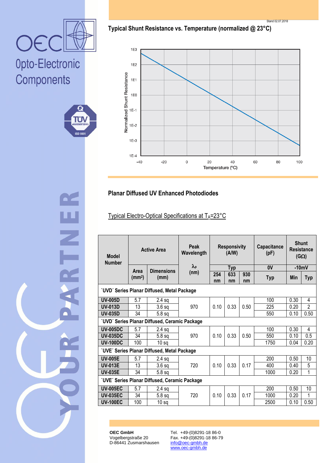OE

### Opto-Electronic Components





#### **Planar Diffused UV Enhanced Photodiodes**

### Typical Electro-Optical Specifications at TA=23°C

| <b>Model</b><br><b>Number</b> | <b>Active Area</b> |                                                    | Peak<br>Wavelength        | <b>Responsivity</b><br>(A/W) |           |           | Capacitance<br>(pF) | <b>Shunt</b><br><b>Resistance</b><br>$(G\Omega)$ |                |
|-------------------------------|--------------------|----------------------------------------------------|---------------------------|------------------------------|-----------|-----------|---------------------|--------------------------------------------------|----------------|
|                               | Area               | <b>Dimensions</b>                                  | $\lambda_{\rm p}$<br>(nm) | <b>Typ</b>                   |           |           | 0V                  | $-10mV$                                          |                |
|                               | (mm <sup>2</sup> ) | (mm)                                               |                           | 254<br>nm                    | 633<br>nm | 930<br>nm | <b>Typ</b>          | <b>Min</b>                                       | <b>Typ</b>     |
|                               |                    | 'UVD' Series Planar Diffused, Metal Package        |                           |                              |           |           |                     |                                                  |                |
| <b>UV-005D</b>                | 5.7                | $2.4$ sq                                           |                           |                              |           |           | 100                 | 0.30                                             | 4              |
| <b>UV-013D</b>                | 13                 | $3.6$ sq                                           | 970                       | 0.10                         | 0.33      | 0.50      | 225                 | 0.20                                             | $\overline{2}$ |
| <b>UV-035D</b>                | 34                 | $5.8$ sq                                           |                           |                              |           |           | 550                 | 0.10                                             | 0.50           |
|                               |                    | 'UVD' Series Planar Diffused, Ceramic Package      |                           |                              |           |           |                     |                                                  |                |
| <b>UV-005DC</b>               | 5.7                | $2.4$ sq                                           |                           |                              |           |           | 100                 | 0.30                                             | $\overline{4}$ |
| <b>UV-035DC</b>               | 34                 | $5.8$ sq                                           | 970                       | 0.10                         | 0.33      | 0.50      | 550                 | 0.10                                             | 0.5            |
| <b>UV-100DC</b>               | 100                | 10 <sub>sq</sub>                                   |                           |                              |           |           | 1750                | 0.04                                             | 0.20           |
|                               |                    | <b>`UVE' Series Planar Diffused, Metal Package</b> |                           |                              |           |           |                     |                                                  |                |
| <b>UV-005E</b>                | 5.7                | $2.4$ sq                                           |                           |                              |           |           | 200                 | 0.50                                             | 10             |
| <b>UV-013E</b>                | 13                 | $3.6$ sq                                           | 720                       | 0.10                         | 0.33      | 0.17      | 400                 | 0.40                                             | 5              |
| <b>UV-035E</b>                | 34                 | $5.8$ sq                                           |                           |                              |           |           | 1000                | 0.20                                             | 1              |
|                               |                    | 'UVE' Series Planar Diffused, Ceramic Package      |                           |                              |           |           |                     |                                                  |                |
| <b>UV-005EC</b>               | 5.7                | $2.4$ sq                                           |                           |                              |           |           | 200                 | 0.50                                             | 10             |
| <b>UV-035EC</b>               | 34                 | $5.8$ sq                                           | 720                       | 0.10                         | 0.33      | 0.17      | 1000                | 0.20                                             | 1              |
| <b>UV-100EC</b>               | 100                | 10 <sub>sq</sub>                                   |                           |                              |           |           | 2500                | 0.10                                             | 0.50           |
|                               |                    |                                                    |                           |                              |           |           |                     |                                                  |                |

**OEC GmbH** Vogelbergstraße 20 D-86441 Zusmarshausen

Tel. +49-(0)8291-18 86-0 Fax. +49-(0)8291-18 86-79 info@oec-gmbh.de www.oec-gmbh.de

Stand 02.07.2018

**Typical Shunt Resistance vs. Temperature (normalized @ 23°C)**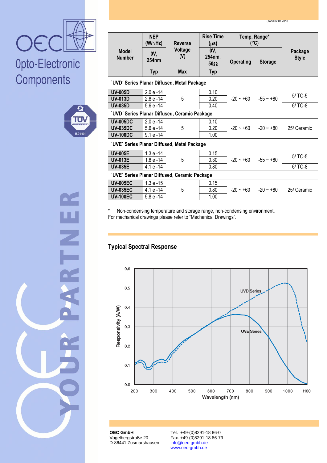Stand 02.07.2018



### Opto-Electronic Components



 $\overline{\mathbf{z}}$ 

|                                                      | <b>NEP</b><br>(W/ $\sqrt{Hz}$ ) | <b>Reverse</b>                                | <b>Rise Time</b><br>$(\mu s)$ | Temp. Range*<br>$(^{\circ}C)$ |                |                         |  |  |
|------------------------------------------------------|---------------------------------|-----------------------------------------------|-------------------------------|-------------------------------|----------------|-------------------------|--|--|
| <b>Model</b><br><b>Number</b>                        | 0V,<br>254nm                    | Voltage<br>(V)                                | 0V,<br>254nm,<br>$50\Omega$   | <b>Operating</b>              | <b>Storage</b> | Package<br><b>Style</b> |  |  |
|                                                      | <b>Typ</b>                      | <b>Max</b>                                    | <b>Typ</b>                    |                               |                |                         |  |  |
| 'UVD' Series Planar Diffused, Metal Package          |                                 |                                               |                               |                               |                |                         |  |  |
| <b>UV-005D</b>                                       | 2.0 e -14                       |                                               | 0.10                          |                               |                |                         |  |  |
| <b>UV-013D</b>                                       | $2.8 e - 14$                    | 5                                             | 0.20                          | $-20 - 60$                    | $-55 - +80$    | $5/TO-5$                |  |  |
| UV-035D                                              | $5.6 e - 14$                    |                                               | 0.40                          |                               |                | $6/TO-8$                |  |  |
| <b>'UVD' Series Planar Diffused, Ceramic Package</b> |                                 |                                               |                               |                               |                |                         |  |  |
| <b>UV-005DC</b>                                      | 2.0 e -14                       |                                               | 0.10                          |                               |                |                         |  |  |
| <b>UV-035DC</b>                                      | 5.6 e -14                       | 5                                             | 0.20                          | $-20 - 60$                    | $-20 - 80$     | 25/ Ceramic             |  |  |
| <b>UV-100DC</b>                                      | $9.1 e - 14$                    |                                               | 1.00                          |                               |                |                         |  |  |
| <b>`UVE' Series Planar Diffused, Metal Package</b>   |                                 |                                               |                               |                               |                |                         |  |  |
| <b>UV-005E</b>                                       | 1.3 e -14                       |                                               | 0.15                          |                               |                | 5/ TO-5                 |  |  |
| <b>UV-013E</b>                                       | 1.8 e -14                       | 5                                             | 0.30                          | $-20 - 60$                    | $-55 - +80$    |                         |  |  |
| <b>UV-035E</b>                                       | 4.1 e -14                       |                                               | 0.80                          |                               |                | $6/TO-8$                |  |  |
|                                                      |                                 | 'UVE' Series Planar Diffused, Ceramic Package |                               |                               |                |                         |  |  |
| <b>UV-005EC</b>                                      | $1.3e - 15$                     |                                               | 0.15                          |                               |                |                         |  |  |
| <b>UV-035EC</b>                                      | 4.1 e -14                       | 5                                             | 0.80                          | $-20 - 60$                    | $-20 - +80$    | 25/ Ceramic             |  |  |
| <b>UV-100EC</b>                                      | $5.8e - 14$                     |                                               | 1.00                          |                               |                |                         |  |  |

Non-condensing temperature and storage range, non-condensing environment. For mechanical drawings please refer to "Mechanical Drawings".

### **Typical Spectral Response**



**OEC GmbH** Vogelbergstraße 20 D-86441 Zusmarshausen